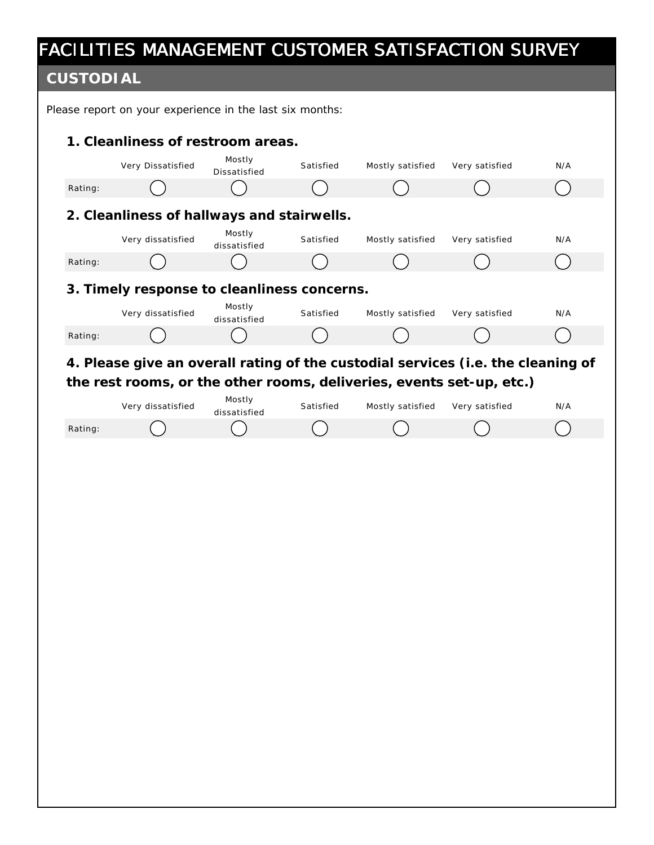#### **CUSTODIAL**

Please report on your experience in the last six months: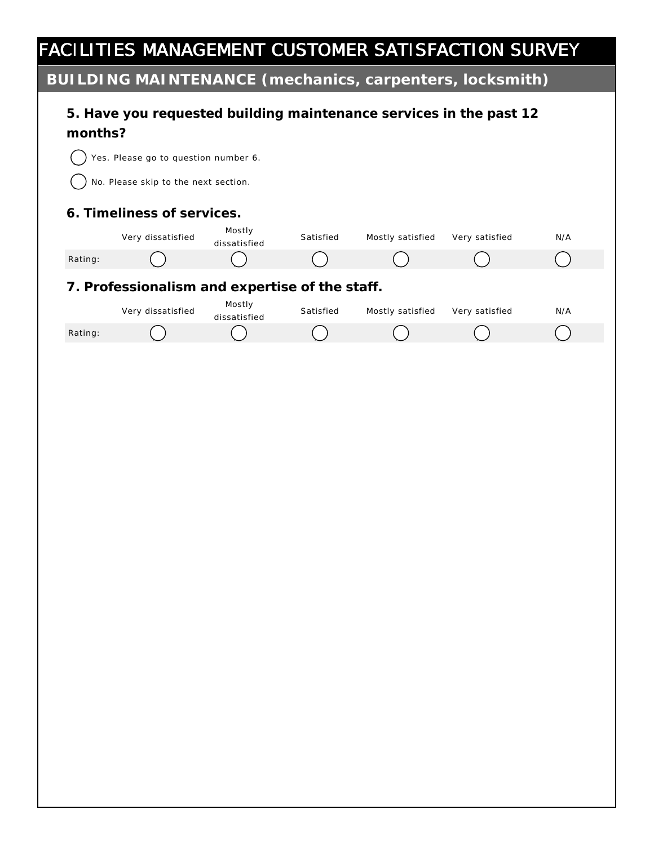**BUILDING MAINTENANCE (mechanics, carpenters, locksmith)**

| 201 LDTNG MATIVTLIVANCE (THECHAHCS, CALPETITELS, TOCKSHITTI) |                                      |                                                |           |                                                                    |                |     |
|--------------------------------------------------------------|--------------------------------------|------------------------------------------------|-----------|--------------------------------------------------------------------|----------------|-----|
| months?                                                      |                                      |                                                |           | 5. Have you requested building maintenance services in the past 12 |                |     |
|                                                              | Yes. Please go to question number 6. |                                                |           |                                                                    |                |     |
|                                                              | No. Please skip to the next section. |                                                |           |                                                                    |                |     |
|                                                              |                                      |                                                |           |                                                                    |                |     |
|                                                              | 6. Timeliness of services.           |                                                |           |                                                                    |                |     |
|                                                              | Very dissatisfied                    | Mostly<br>dissatisfied                         | Satisfied | Mostly satisfied                                                   | Very satisfied | N/A |
| Rating:                                                      |                                      |                                                |           |                                                                    |                |     |
|                                                              |                                      | 7. Professionalism and expertise of the staff. |           |                                                                    |                |     |
|                                                              | Very dissatisfied                    | Mostly                                         | Satisfied | Mostly satisfied                                                   | Very satisfied | N/A |
| Rating:                                                      |                                      | dissatisfied                                   |           |                                                                    |                |     |
|                                                              |                                      |                                                |           |                                                                    |                |     |
|                                                              |                                      |                                                |           |                                                                    |                |     |
|                                                              |                                      |                                                |           |                                                                    |                |     |
|                                                              |                                      |                                                |           |                                                                    |                |     |
|                                                              |                                      |                                                |           |                                                                    |                |     |
|                                                              |                                      |                                                |           |                                                                    |                |     |
|                                                              |                                      |                                                |           |                                                                    |                |     |
|                                                              |                                      |                                                |           |                                                                    |                |     |
|                                                              |                                      |                                                |           |                                                                    |                |     |
|                                                              |                                      |                                                |           |                                                                    |                |     |
|                                                              |                                      |                                                |           |                                                                    |                |     |
|                                                              |                                      |                                                |           |                                                                    |                |     |
|                                                              |                                      |                                                |           |                                                                    |                |     |
|                                                              |                                      |                                                |           |                                                                    |                |     |
|                                                              |                                      |                                                |           |                                                                    |                |     |
|                                                              |                                      |                                                |           |                                                                    |                |     |
|                                                              |                                      |                                                |           |                                                                    |                |     |
|                                                              |                                      |                                                |           |                                                                    |                |     |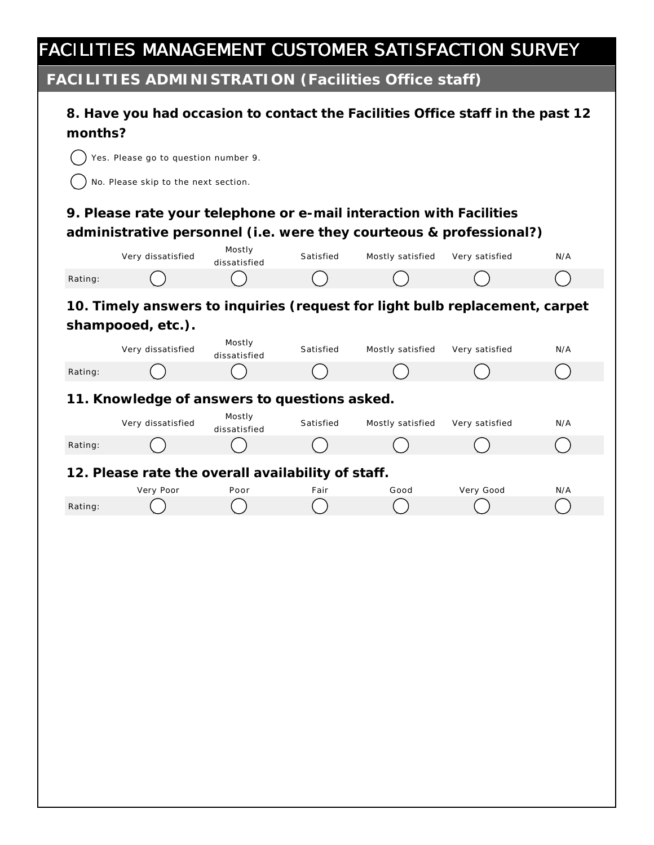**FACILITIES ADMINISTRATION (Facilities Office staff)**

| months? | 8. Have you had occasion to contact the Facilities Office staff in the past 12<br>Yes. Please go to question number 9.<br>No. Please skip to the next section. |                        |           |                  |                |     |
|---------|----------------------------------------------------------------------------------------------------------------------------------------------------------------|------------------------|-----------|------------------|----------------|-----|
|         | 9. Please rate your telephone or e-mail interaction with Facilities<br>administrative personnel (i.e. were they courteous & professional?)                     |                        |           |                  |                |     |
|         | Very dissatisfied                                                                                                                                              | Mostly<br>dissatisfied | Satisfied | Mostly satisfied | Very satisfied | N/A |
| Rating: |                                                                                                                                                                |                        |           |                  |                |     |
|         | 10. Timely answers to inquiries (request for light bulb replacement, carpet<br>shampooed, etc.).                                                               | Mostly                 |           |                  |                |     |
|         | Very dissatisfied                                                                                                                                              | dissatisfied           | Satisfied | Mostly satisfied | Very satisfied | N/A |
| Rating: |                                                                                                                                                                |                        |           |                  |                |     |
|         | 11. Knowledge of answers to questions asked.                                                                                                                   |                        |           |                  |                |     |
|         | Very dissatisfied                                                                                                                                              | Mostly<br>dissatisfied | Satisfied | Mostly satisfied | Very satisfied | N/A |
| Rating: |                                                                                                                                                                |                        |           |                  |                |     |
|         | 12. Please rate the overall availability of staff.                                                                                                             |                        |           |                  |                |     |
|         | Very Poor                                                                                                                                                      | Poor                   | Fair      | Good             | Very Good      | N/A |
| Rating: |                                                                                                                                                                |                        |           |                  |                |     |
|         |                                                                                                                                                                |                        |           |                  |                |     |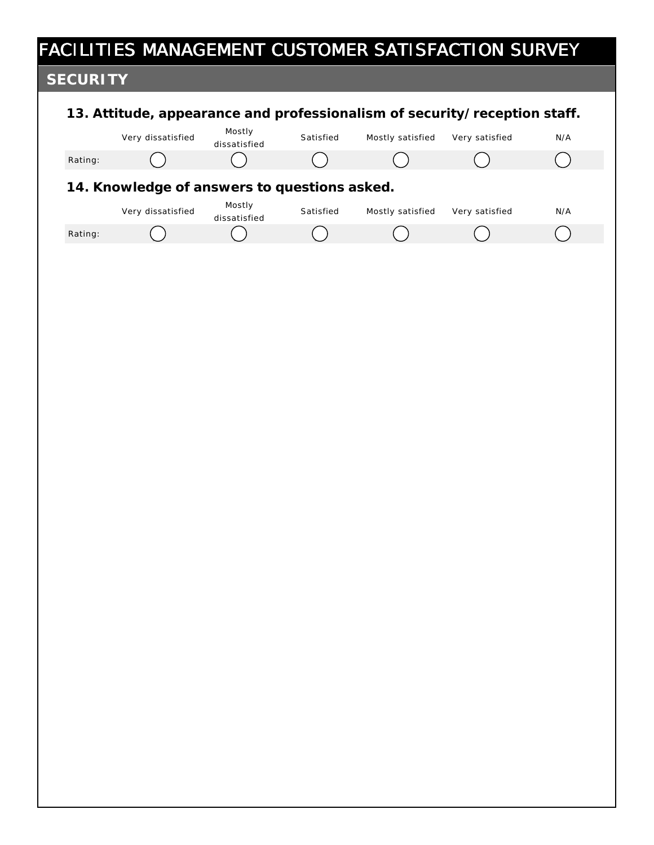# FACILITIES MANAGEMENT CUSTOMER SATISFACTION SURVEY **13. Attitude, appearance and professionalism of security/reception staff. 14. Knowledge of answers to questions asked. SECURITY** Very dissatisfied Mostly dissatisfied Satisfied Mostly satisfied Very satisfied N/A Rating: ( ) ( ) ( ) ( ) ( ) ( ) ( ) ( ) Very dissatisfied Mostly dissatisfied Satisfied Mostly satisfied Very satisfied N/A Rating: nmlkj nmlkj nmlkj nmlkj nmlkj nmlkj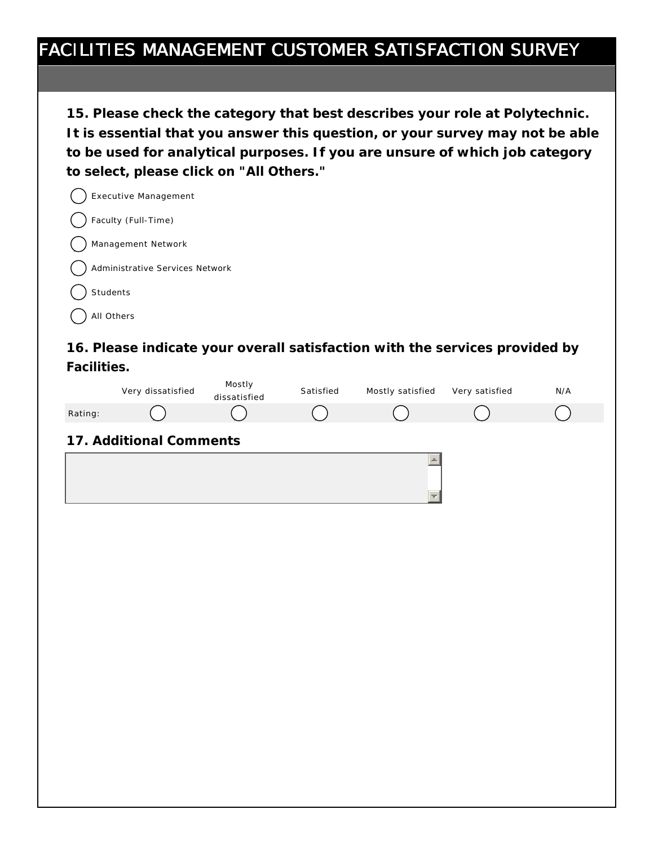**15. Please check the category that best describes your role at Polytechnic. It is essential that you answer this question, or your survey may not be able to be used for analytical purposes. If you are unsure of which job category to select, please click on "All Others."**

|  | Executive Management            |
|--|---------------------------------|
|  | () Faculty (Full-Time)          |
|  | Management Network              |
|  | Administrative Services Network |
|  | Students                        |

All Others

**16. Please indicate your overall satisfaction with the services provided by Facilities.**

|         | Very dissatisfied       | Mostly<br>dissatisfied | Satisfied | Mostly satisfied | Very satisfied | N/A |
|---------|-------------------------|------------------------|-----------|------------------|----------------|-----|
| Rating: |                         |                        |           |                  |                |     |
|         | 17. Additional Comments |                        |           |                  |                |     |
|         |                         |                        |           |                  |                |     |
|         |                         |                        |           |                  |                |     |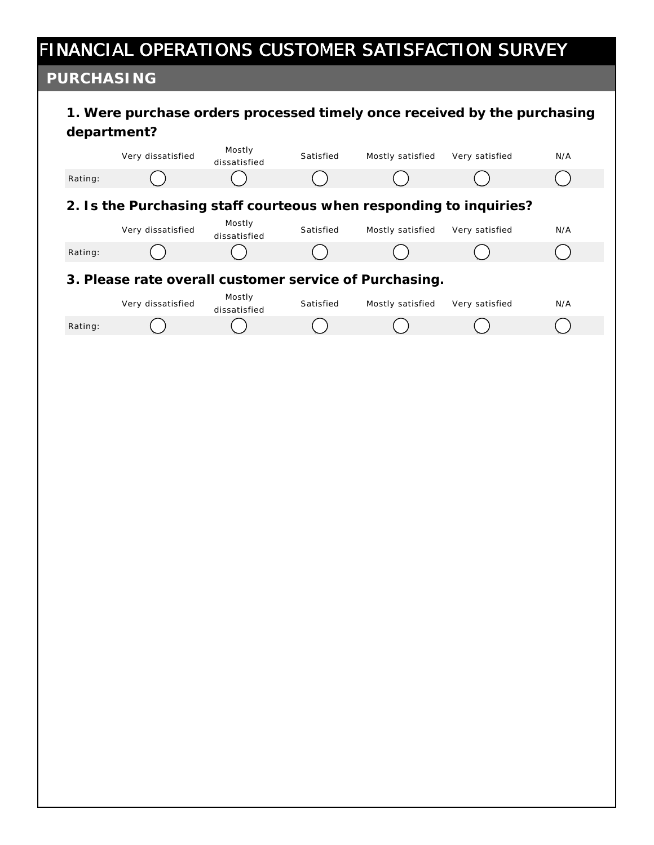# FINANCIAL OPERATIONS CUSTOMER SATISFACTION SURVEY

#### **PURCHASING**

| PURCHASING |                                                                                         |                        |           |                  |                |     |
|------------|-----------------------------------------------------------------------------------------|------------------------|-----------|------------------|----------------|-----|
|            | 1. Were purchase orders processed timely once received by the purchasing<br>department? |                        |           |                  |                |     |
|            | Very dissatisfied                                                                       | Mostly<br>dissatisfied | Satisfied | Mostly satisfied | Very satisfied | N/A |
| Rating:    |                                                                                         |                        |           |                  |                |     |
|            | 2. Is the Purchasing staff courteous when responding to inquiries?                      |                        |           |                  |                |     |
|            | Very dissatisfied                                                                       | Mostly<br>dissatisfied | Satisfied | Mostly satisfied | Very satisfied | N/A |
| Rating:    |                                                                                         |                        |           |                  |                |     |
|            | 3. Please rate overall customer service of Purchasing.                                  |                        |           |                  |                |     |
|            | Very dissatisfied                                                                       | Mostly<br>dissatisfied | Satisfied | Mostly satisfied | Very satisfied | N/A |
| Rating:    |                                                                                         |                        |           |                  |                |     |
|            |                                                                                         |                        |           |                  |                |     |
|            |                                                                                         |                        |           |                  |                |     |
|            |                                                                                         |                        |           |                  |                |     |
|            |                                                                                         |                        |           |                  |                |     |
|            |                                                                                         |                        |           |                  |                |     |
|            |                                                                                         |                        |           |                  |                |     |
|            |                                                                                         |                        |           |                  |                |     |
|            |                                                                                         |                        |           |                  |                |     |
|            |                                                                                         |                        |           |                  |                |     |
|            |                                                                                         |                        |           |                  |                |     |
|            |                                                                                         |                        |           |                  |                |     |
|            |                                                                                         |                        |           |                  |                |     |
|            |                                                                                         |                        |           |                  |                |     |
|            |                                                                                         |                        |           |                  |                |     |
|            |                                                                                         |                        |           |                  |                |     |
|            |                                                                                         |                        |           |                  |                |     |
|            |                                                                                         |                        |           |                  |                |     |
|            |                                                                                         |                        |           |                  |                |     |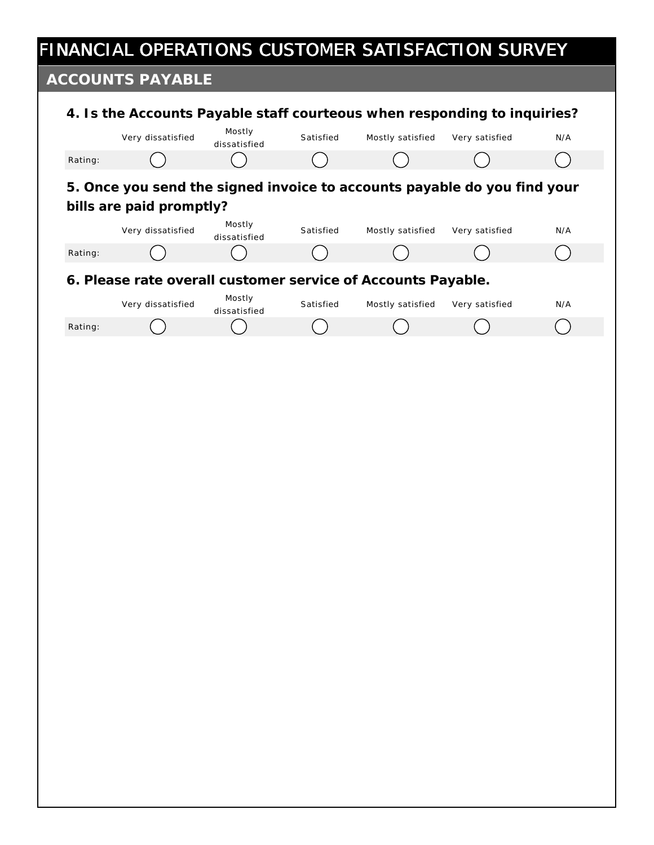# FINANCIAL OPERATIONS CUSTOMER SATISFACTION SURVEY

### **ACCOUNTS PAYABLE**

|         | Very dissatisfied                                                                                    | Mostly<br>dissatisfied | Satisfied | Mostly satisfied | Very satisfied | N/A |
|---------|------------------------------------------------------------------------------------------------------|------------------------|-----------|------------------|----------------|-----|
| Rating: |                                                                                                      |                        |           |                  |                |     |
|         | 5. Once you send the signed invoice to accounts payable do you find your<br>bills are paid promptly? |                        |           |                  |                |     |
|         | Very dissatisfied                                                                                    | Mostly<br>dissatisfied | Satisfied | Mostly satisfied | Very satisfied | N/A |
| Rating: |                                                                                                      |                        |           |                  |                |     |
|         | 6. Please rate overall customer service of Accounts Payable.                                         |                        |           |                  |                |     |
|         | Very dissatisfied                                                                                    | Mostly<br>dissatisfied | Satisfied | Mostly satisfied | Very satisfied | N/A |
| Rating: |                                                                                                      |                        |           |                  |                |     |
|         |                                                                                                      |                        |           |                  |                |     |
|         |                                                                                                      |                        |           |                  |                |     |
|         |                                                                                                      |                        |           |                  |                |     |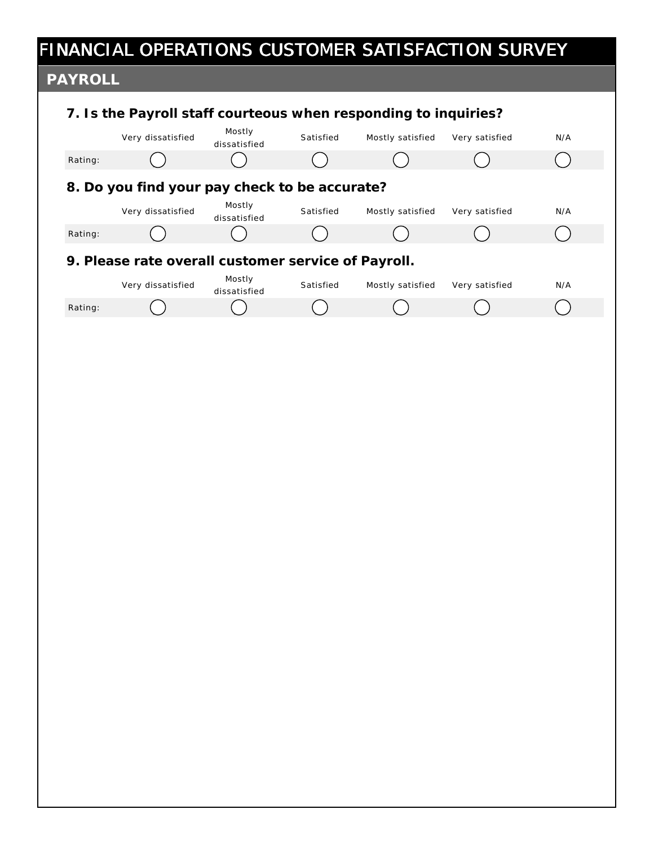|                | FINANCIAL OPERATIONS CUSTOMER SATISFACTION SURVEY               |                        |           |                  |                |     |
|----------------|-----------------------------------------------------------------|------------------------|-----------|------------------|----------------|-----|
| <b>PAYROLL</b> |                                                                 |                        |           |                  |                |     |
|                | 7. Is the Payroll staff courteous when responding to inquiries? |                        |           |                  |                |     |
|                | Very dissatisfied                                               | Mostly<br>dissatisfied | Satisfied | Mostly satisfied | Very satisfied | N/A |
| Rating:        |                                                                 |                        |           |                  |                |     |
|                | 8. Do you find your pay check to be accurate?                   |                        |           |                  |                |     |
|                | Very dissatisfied                                               | Mostly<br>dissatisfied | Satisfied | Mostly satisfied | Very satisfied | N/A |
| Rating:        |                                                                 |                        |           |                  |                |     |
|                | 9. Please rate overall customer service of Payroll.             |                        |           |                  |                |     |
|                | Very dissatisfied                                               | Mostly<br>dissatisfied | Satisfied | Mostly satisfied | Very satisfied | N/A |
| Rating:        |                                                                 |                        |           |                  |                |     |
|                |                                                                 |                        |           |                  |                |     |
|                |                                                                 |                        |           |                  |                |     |
|                |                                                                 |                        |           |                  |                |     |
|                |                                                                 |                        |           |                  |                |     |
|                |                                                                 |                        |           |                  |                |     |
|                |                                                                 |                        |           |                  |                |     |
|                |                                                                 |                        |           |                  |                |     |
|                |                                                                 |                        |           |                  |                |     |
|                |                                                                 |                        |           |                  |                |     |
|                |                                                                 |                        |           |                  |                |     |
|                |                                                                 |                        |           |                  |                |     |
|                |                                                                 |                        |           |                  |                |     |
|                |                                                                 |                        |           |                  |                |     |
|                |                                                                 |                        |           |                  |                |     |
|                |                                                                 |                        |           |                  |                |     |
|                |                                                                 |                        |           |                  |                |     |
|                |                                                                 |                        |           |                  |                |     |
|                |                                                                 |                        |           |                  |                |     |
|                |                                                                 |                        |           |                  |                |     |
|                |                                                                 |                        |           |                  |                |     |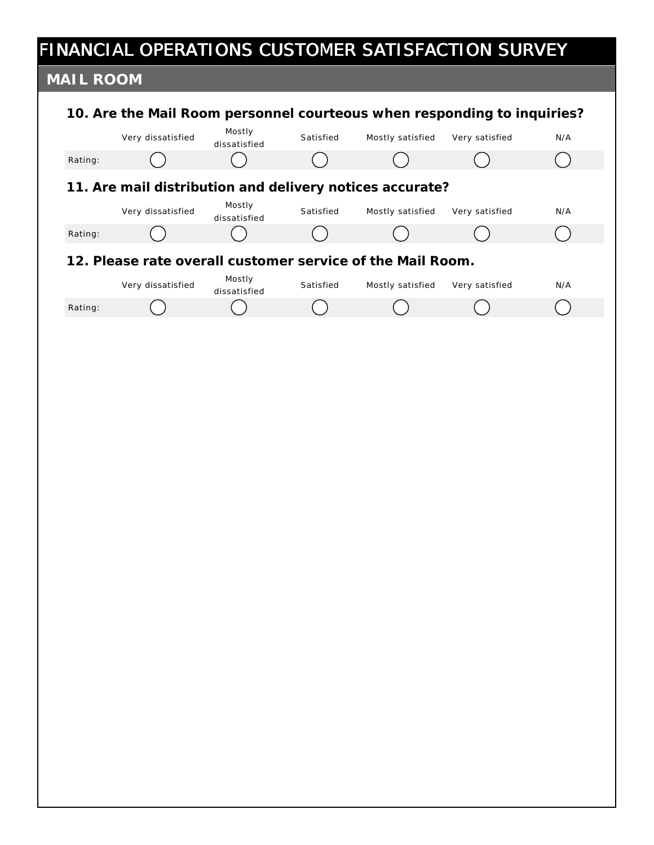|           | FINANCIAL OPERATIONS CUSTOMER SATISFACTION SURVEY                       |                        |           |                  |                |     |
|-----------|-------------------------------------------------------------------------|------------------------|-----------|------------------|----------------|-----|
| MAIL ROOM |                                                                         |                        |           |                  |                |     |
|           | 10. Are the Mail Room personnel courteous when responding to inquiries? |                        |           |                  |                |     |
|           | Very dissatisfied                                                       | Mostly<br>dissatisfied | Satisfied | Mostly satisfied | Very satisfied | N/A |
| Rating:   |                                                                         |                        |           |                  |                |     |
|           | 11. Are mail distribution and delivery notices accurate?                |                        |           |                  |                |     |
|           | Very dissatisfied                                                       | Mostly<br>dissatisfied | Satisfied | Mostly satisfied | Very satisfied | N/A |
| Rating:   |                                                                         |                        |           |                  |                |     |
|           | 12. Please rate overall customer service of the Mail Room.              |                        |           |                  |                |     |
|           | Very dissatisfied                                                       | Mostly<br>dissatisfied | Satisfied | Mostly satisfied | Very satisfied | N/A |
| Rating:   |                                                                         |                        |           |                  |                |     |
|           |                                                                         |                        |           |                  |                |     |
|           |                                                                         |                        |           |                  |                |     |
|           |                                                                         |                        |           |                  |                |     |
|           |                                                                         |                        |           |                  |                |     |
|           |                                                                         |                        |           |                  |                |     |
|           |                                                                         |                        |           |                  |                |     |
|           |                                                                         |                        |           |                  |                |     |
|           |                                                                         |                        |           |                  |                |     |
|           |                                                                         |                        |           |                  |                |     |
|           |                                                                         |                        |           |                  |                |     |
|           |                                                                         |                        |           |                  |                |     |
|           |                                                                         |                        |           |                  |                |     |
|           |                                                                         |                        |           |                  |                |     |
|           |                                                                         |                        |           |                  |                |     |
|           |                                                                         |                        |           |                  |                |     |
|           |                                                                         |                        |           |                  |                |     |
|           |                                                                         |                        |           |                  |                |     |
|           |                                                                         |                        |           |                  |                |     |
|           |                                                                         |                        |           |                  |                |     |
|           |                                                                         |                        |           |                  |                |     |
|           |                                                                         |                        |           |                  |                |     |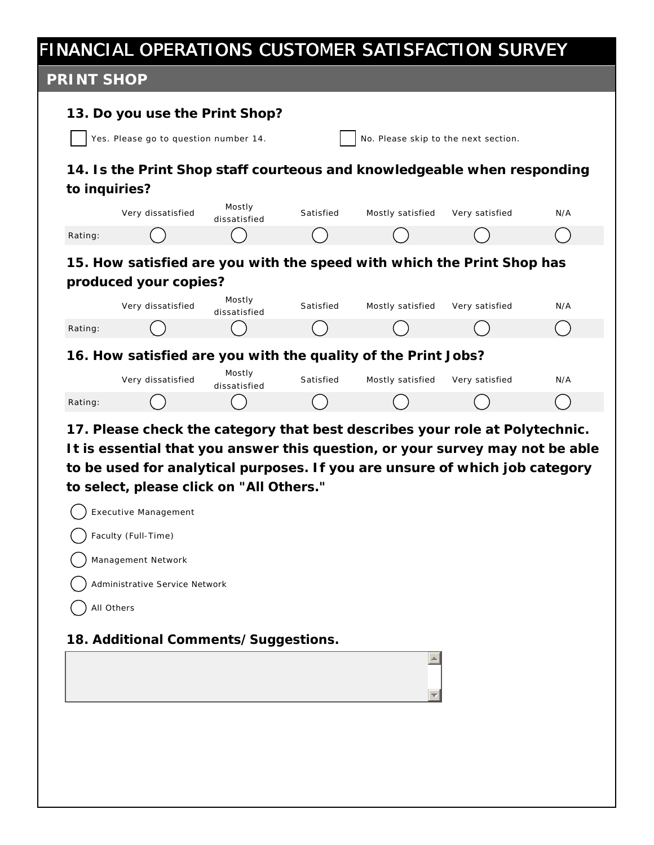#### FINANCIAL OPERATIONS CUSTOMER SATISFACTION SURVEY **PRINT SHOP 13. Do you use the Print Shop?** Yes. Please go to question number  $14.$   $\vert$  No. Please skip to the next section. **14. Is the Print Shop staff courteous and knowledgeable when responding to inquiries?** Mostly Very dissatisfied Satisfied Mostly satisfied Very satisfied N/A dissatisfied Rating: ( ) ( ) ( ) ( ) ( ) ( ) ( ) ( ) **15. How satisfied are you with the speed with which the Print Shop has produced your copies?** Mostly Very dissatisfied Satisfied Mostly satisfied Very satisfied N/A dissatisfied Rating: ( ) ( ) ( ) ( ) ( ) ( ) ( ) ( ) ( ) **16. How satisfied are you with the quality of the Print Jobs?** Mostly Satisfied Mostly satisfied Very satisfied N/A Very dissatisfied dissatisfied Rating: ( ) ( ) ( ) ( ) ( ) ( ) ( ) ( ) **17. Please check the category that best describes your role at Polytechnic. It is essential that you answer this question, or your survey may not be able to be used for analytical purposes. If you are unsure of which job category to select, please click on "All Others."** Executive Management Faculty (Full-Time) Management Network Administrative Service Network All Others **18. Additional Comments/Suggestions.**  $\triangle$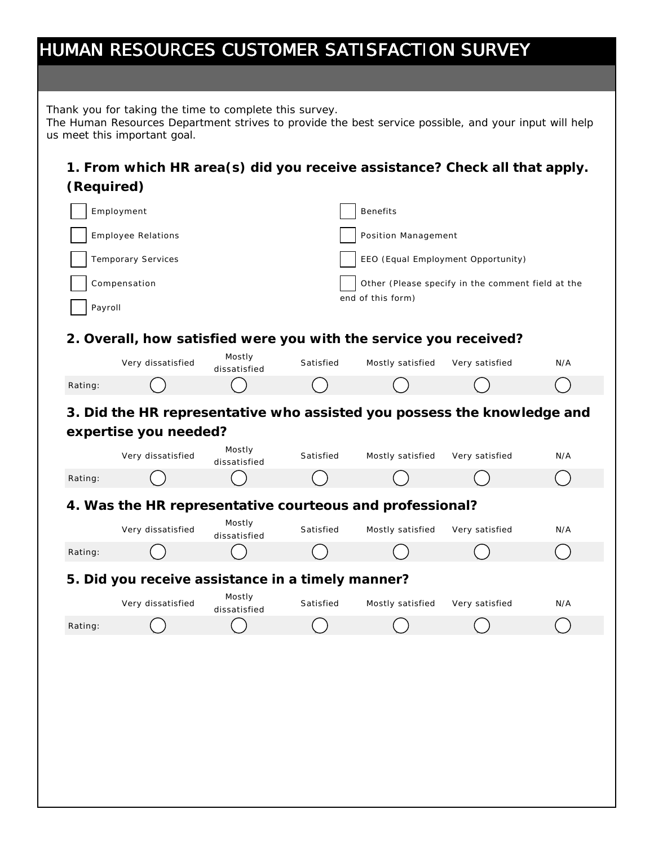|            | HUMAN RESOURCES CUSTOMER SATISFACTION SURVEY                                                                                                                                                    |                        |           |                                    |                                                   |     |
|------------|-------------------------------------------------------------------------------------------------------------------------------------------------------------------------------------------------|------------------------|-----------|------------------------------------|---------------------------------------------------|-----|
|            |                                                                                                                                                                                                 |                        |           |                                    |                                                   |     |
|            | Thank you for taking the time to complete this survey.<br>The Human Resources Department strives to provide the best service possible, and your input will help<br>us meet this important goal. |                        |           |                                    |                                                   |     |
| (Required) | 1. From which HR area(s) did you receive assistance? Check all that apply.                                                                                                                      |                        |           |                                    |                                                   |     |
|            | Employment                                                                                                                                                                                      |                        |           | <b>Benefits</b>                    |                                                   |     |
|            | <b>Employee Relations</b>                                                                                                                                                                       |                        |           | Position Management                |                                                   |     |
|            | Temporary Services                                                                                                                                                                              |                        |           | EEO (Equal Employment Opportunity) |                                                   |     |
|            | Compensation                                                                                                                                                                                    |                        |           |                                    | Other (Please specify in the comment field at the |     |
| Payroll    |                                                                                                                                                                                                 |                        |           | end of this form)                  |                                                   |     |
|            |                                                                                                                                                                                                 |                        |           |                                    |                                                   |     |
|            | 2. Overall, how satisfied were you with the service you received?                                                                                                                               | Mostly                 |           |                                    |                                                   |     |
|            | Very dissatisfied                                                                                                                                                                               | dissatisfied           | Satisfied | Mostly satisfied                   | Very satisfied                                    | N/A |
| Rating:    |                                                                                                                                                                                                 |                        |           |                                    |                                                   |     |
|            | 3. Did the HR representative who assisted you possess the knowledge and                                                                                                                         |                        |           |                                    |                                                   |     |
|            | expertise you needed?                                                                                                                                                                           | Mostly                 |           |                                    |                                                   |     |
|            | Very dissatisfied                                                                                                                                                                               | dissatisfied           | Satisfied | Mostly satisfied                   | Very satisfied                                    | N/A |
| Rating:    |                                                                                                                                                                                                 |                        |           |                                    |                                                   |     |
|            | 4. Was the HR representative courteous and professional?                                                                                                                                        | Mostly                 |           |                                    |                                                   |     |
|            | Very dissatisfied                                                                                                                                                                               | dissatisfied           | Satisfied | Mostly satisfied                   | Very satisfied                                    | N/A |
| Rating:    |                                                                                                                                                                                                 |                        |           |                                    |                                                   |     |
|            | 5. Did you receive assistance in a timely manner?                                                                                                                                               |                        |           |                                    |                                                   |     |
|            | Very dissatisfied                                                                                                                                                                               | Mostly<br>dissatisfied | Satisfied | Mostly satisfied                   | Very satisfied                                    | N/A |
| Rating:    |                                                                                                                                                                                                 |                        |           |                                    |                                                   |     |
|            |                                                                                                                                                                                                 |                        |           |                                    |                                                   |     |
|            |                                                                                                                                                                                                 |                        |           |                                    |                                                   |     |
|            |                                                                                                                                                                                                 |                        |           |                                    |                                                   |     |
|            |                                                                                                                                                                                                 |                        |           |                                    |                                                   |     |
|            |                                                                                                                                                                                                 |                        |           |                                    |                                                   |     |
|            |                                                                                                                                                                                                 |                        |           |                                    |                                                   |     |
|            |                                                                                                                                                                                                 |                        |           |                                    |                                                   |     |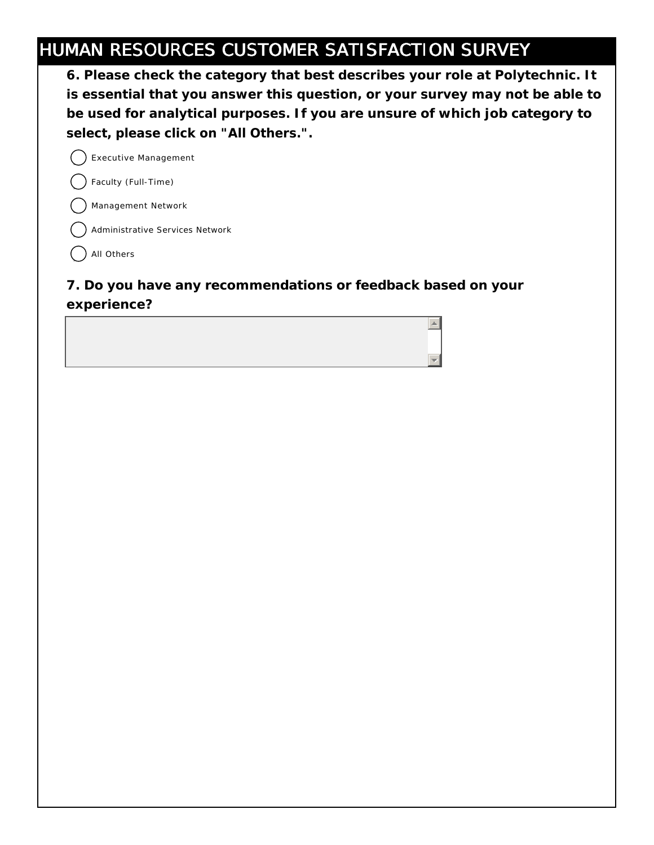## HUMAN RESOURCES CUSTOMER SATISFACTION SURVEY

**6. Please check the category that best describes your role at Polytechnic. It is essential that you answer this question, or your survey may not be able to be used for analytical purposes. If you are unsure of which job category to select, please click on "All Others.".**

 $\triangle$ 

Executive Management

Faculty (Full-Time)

Management Network

Administrative Services Network

) All Others

#### **7. Do you have any recommendations or feedback based on your experience?**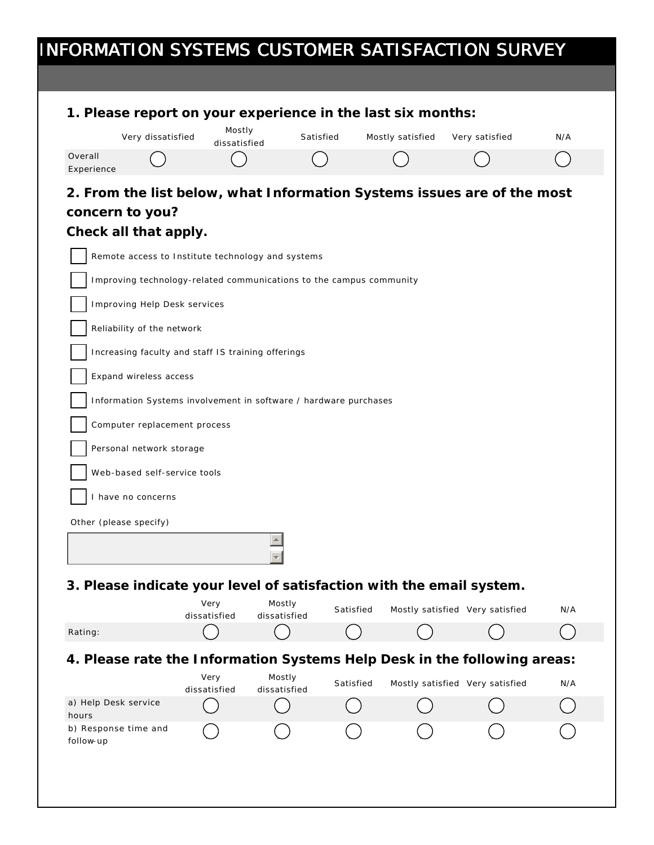| 1. Please report on your experience in the last six months:<br>Very dissatisfied<br>Overall<br>Experience<br>2. From the list below, what Information Systems issues are of the most<br>concern to you?<br>Check all that apply.<br>Remote access to Institute technology and systems<br>Improving technology-related communications to the campus community<br><b>Improving Help Desk services</b><br>Reliability of the network<br>Increasing faculty and staff IS training offerings<br>Expand wireless access<br>Information Systems involvement in software / hardware purchases<br>Computer replacement process<br>Personal network storage<br>Web-based self-service tools<br>I have no concerns<br>Other (please specify)<br>3. Please indicate your level of satisfaction with the email system.<br>Rating: | Mostly<br>dissatisfied |                        | Satisfied | Mostly satisfied | Very satisfied                  | N/A |
|----------------------------------------------------------------------------------------------------------------------------------------------------------------------------------------------------------------------------------------------------------------------------------------------------------------------------------------------------------------------------------------------------------------------------------------------------------------------------------------------------------------------------------------------------------------------------------------------------------------------------------------------------------------------------------------------------------------------------------------------------------------------------------------------------------------------|------------------------|------------------------|-----------|------------------|---------------------------------|-----|
|                                                                                                                                                                                                                                                                                                                                                                                                                                                                                                                                                                                                                                                                                                                                                                                                                      |                        |                        |           |                  |                                 |     |
|                                                                                                                                                                                                                                                                                                                                                                                                                                                                                                                                                                                                                                                                                                                                                                                                                      |                        |                        |           |                  |                                 |     |
|                                                                                                                                                                                                                                                                                                                                                                                                                                                                                                                                                                                                                                                                                                                                                                                                                      |                        |                        |           |                  |                                 |     |
|                                                                                                                                                                                                                                                                                                                                                                                                                                                                                                                                                                                                                                                                                                                                                                                                                      |                        |                        |           |                  |                                 |     |
|                                                                                                                                                                                                                                                                                                                                                                                                                                                                                                                                                                                                                                                                                                                                                                                                                      |                        |                        |           |                  |                                 |     |
|                                                                                                                                                                                                                                                                                                                                                                                                                                                                                                                                                                                                                                                                                                                                                                                                                      |                        |                        |           |                  |                                 |     |
|                                                                                                                                                                                                                                                                                                                                                                                                                                                                                                                                                                                                                                                                                                                                                                                                                      |                        |                        |           |                  |                                 |     |
|                                                                                                                                                                                                                                                                                                                                                                                                                                                                                                                                                                                                                                                                                                                                                                                                                      |                        |                        |           |                  |                                 |     |
|                                                                                                                                                                                                                                                                                                                                                                                                                                                                                                                                                                                                                                                                                                                                                                                                                      |                        |                        |           |                  |                                 |     |
|                                                                                                                                                                                                                                                                                                                                                                                                                                                                                                                                                                                                                                                                                                                                                                                                                      |                        |                        |           |                  |                                 |     |
|                                                                                                                                                                                                                                                                                                                                                                                                                                                                                                                                                                                                                                                                                                                                                                                                                      |                        |                        |           |                  |                                 |     |
|                                                                                                                                                                                                                                                                                                                                                                                                                                                                                                                                                                                                                                                                                                                                                                                                                      |                        |                        |           |                  |                                 |     |
|                                                                                                                                                                                                                                                                                                                                                                                                                                                                                                                                                                                                                                                                                                                                                                                                                      |                        |                        |           |                  |                                 |     |
|                                                                                                                                                                                                                                                                                                                                                                                                                                                                                                                                                                                                                                                                                                                                                                                                                      |                        |                        |           |                  |                                 |     |
|                                                                                                                                                                                                                                                                                                                                                                                                                                                                                                                                                                                                                                                                                                                                                                                                                      |                        |                        |           |                  |                                 |     |
|                                                                                                                                                                                                                                                                                                                                                                                                                                                                                                                                                                                                                                                                                                                                                                                                                      |                        |                        |           |                  |                                 |     |
|                                                                                                                                                                                                                                                                                                                                                                                                                                                                                                                                                                                                                                                                                                                                                                                                                      |                        |                        |           |                  |                                 |     |
|                                                                                                                                                                                                                                                                                                                                                                                                                                                                                                                                                                                                                                                                                                                                                                                                                      |                        |                        |           |                  |                                 |     |
|                                                                                                                                                                                                                                                                                                                                                                                                                                                                                                                                                                                                                                                                                                                                                                                                                      |                        |                        |           |                  |                                 |     |
|                                                                                                                                                                                                                                                                                                                                                                                                                                                                                                                                                                                                                                                                                                                                                                                                                      |                        |                        |           |                  |                                 |     |
|                                                                                                                                                                                                                                                                                                                                                                                                                                                                                                                                                                                                                                                                                                                                                                                                                      |                        |                        |           |                  |                                 |     |
|                                                                                                                                                                                                                                                                                                                                                                                                                                                                                                                                                                                                                                                                                                                                                                                                                      | Very<br>dissatisfied   | Mostly<br>dissatisfied | Satisfied |                  | Mostly satisfied Very satisfied | N/A |
|                                                                                                                                                                                                                                                                                                                                                                                                                                                                                                                                                                                                                                                                                                                                                                                                                      |                        |                        |           |                  |                                 |     |
| 4. Please rate the Information Systems Help Desk in the following areas:                                                                                                                                                                                                                                                                                                                                                                                                                                                                                                                                                                                                                                                                                                                                             |                        |                        |           |                  |                                 |     |
|                                                                                                                                                                                                                                                                                                                                                                                                                                                                                                                                                                                                                                                                                                                                                                                                                      | Very                   | Mostly                 | Satisfied |                  | Mostly satisfied Very satisfied | N/A |
| a) Help Desk service                                                                                                                                                                                                                                                                                                                                                                                                                                                                                                                                                                                                                                                                                                                                                                                                 |                        | dissatisfied           |           |                  |                                 |     |
| hours<br>b) Response time and<br>follow-up                                                                                                                                                                                                                                                                                                                                                                                                                                                                                                                                                                                                                                                                                                                                                                           | dissatisfied           |                        |           |                  |                                 |     |
|                                                                                                                                                                                                                                                                                                                                                                                                                                                                                                                                                                                                                                                                                                                                                                                                                      |                        |                        |           |                  |                                 |     |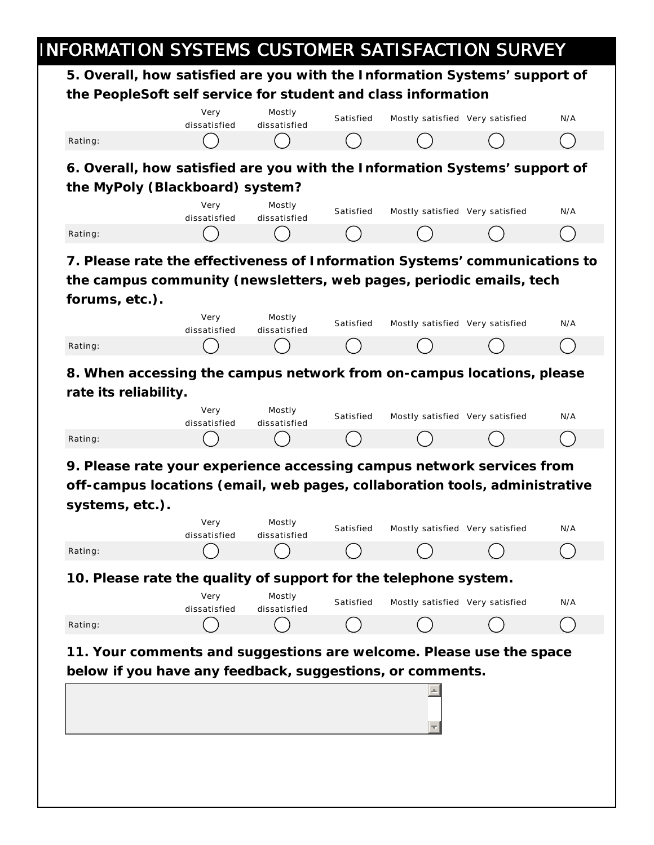#### INFORMATION SYSTEMS CUSTOMER SATISFACTION SURVEY **5. Overall, how satisfied are you with the Information Systems' support of the PeopleSoft self service for student and class information 6. Overall, how satisfied are you with the Information Systems' support of the MyPoly (Blackboard) system? 7. Please rate the effectiveness of Information Systems' communications to the campus community (newsletters, web pages, periodic emails, tech forums, etc.). 8. When accessing the campus network from on-campus locations, please rate its reliability. 9. Please rate your experience accessing campus network services from off-campus locations (email, web pages, collaboration tools, administrative systems, etc.). 10. Please rate the quality of support for the telephone system. 11. Your comments and suggestions are welcome. Please use the space below if you have any feedback, suggestions, or comments.** Very dissatisfied Mostly dissatisfied Satisfied Mostly satisfied Very satisfied N/A Rating: ( ) ( ) ( ) ( ) ( ) ( ) Very dissatisfied Mostly dissatisfied Satisfied Mostly satisfied Very satisfied N/A Rating: ( ) ( ) ( ) ( ) ( ) ( ) Very dissatisfied Mostly dissatisfied Satisfied Mostly satisfied Very satisfied N/A Rating: ( ) ( ) ( ) ( ) ( ) ( ) Very dissatisfied Mostly dissatisfied Satisfied Mostly satisfied Very satisfied N/A Rating: ( ) ( ) ( ) ( ) ( ) ( ) Very dissatisfied Mostly dissatisfied Satisfied Mostly satisfied Very satisfied N/A Rating: ( ) ( ) ( ) ( ) ( ) ( ) Very dissatisfied Mostly dissatisfied Satisfied Mostly satisfied Very satisfied N/A Rating: ( ) ( ) ( ) ( ) ( ) ( )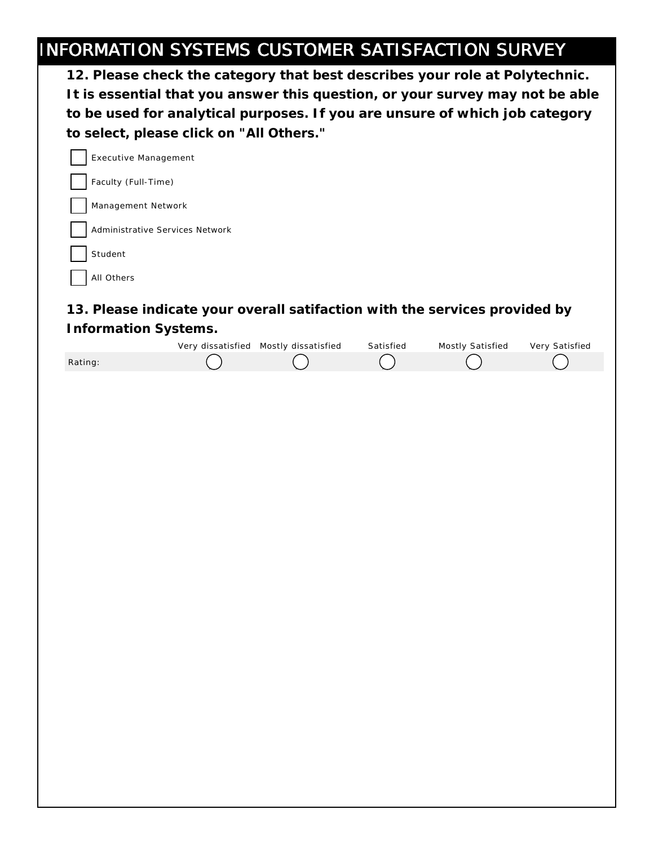# INFORMATION SYSTEMS CUSTOMER SATISFACTION SURVEY

| 12. Please check the category that best describes your role at Polytechnic.                        |
|----------------------------------------------------------------------------------------------------|
| It is essential that you answer this question, or your survey may not be able                      |
| to be used for analytical purposes. If you are unsure of which job category                        |
| to select, please click on "All Others."                                                           |
| <b>Executive Management</b>                                                                        |
| Faculty (Full-Time)                                                                                |
| Management Network                                                                                 |
| Administrative Services Network                                                                    |
| Student                                                                                            |
| All Others                                                                                         |
| 13. Please indicate your overall satifaction with the services provided by<br>Information Systems. |

|         | Very dissatisfied Mostly dissatisfied | Satisfied | Mostly Satisfied | Very Satisfied |
|---------|---------------------------------------|-----------|------------------|----------------|
| Rating: |                                       |           |                  |                |
|         |                                       |           |                  |                |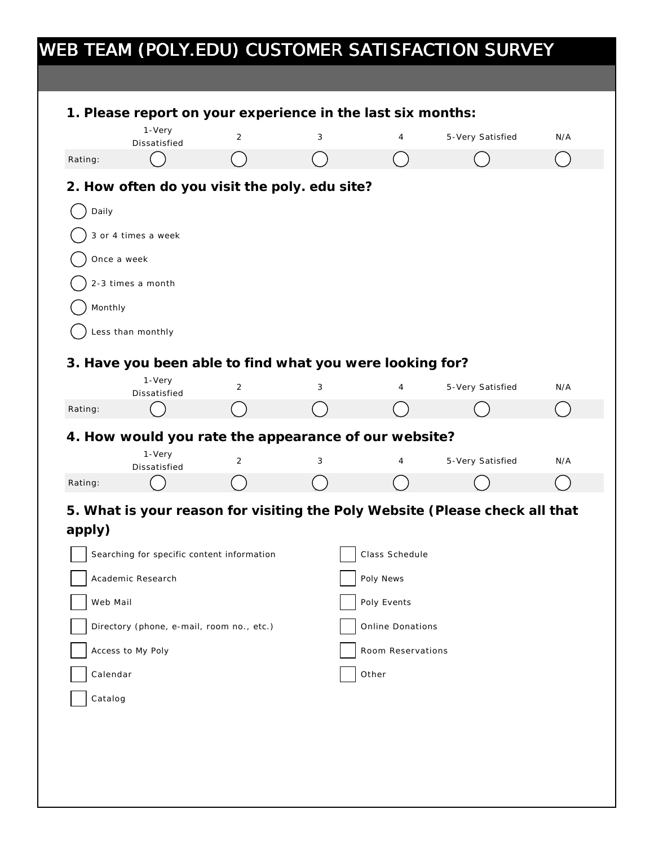|                    | 1-Very                                                             |   |   | 1. Please report on your experience in the last six months: |                                                                             |     |
|--------------------|--------------------------------------------------------------------|---|---|-------------------------------------------------------------|-----------------------------------------------------------------------------|-----|
|                    | Dissatisfied                                                       | 2 | 3 | 4                                                           | 5-Very Satisfied                                                            | N/A |
| Rating:            |                                                                    |   |   |                                                             |                                                                             |     |
|                    | 2. How often do you visit the poly. edu site?                      |   |   |                                                             |                                                                             |     |
| Daily              |                                                                    |   |   |                                                             |                                                                             |     |
|                    | 3 or 4 times a week                                                |   |   |                                                             |                                                                             |     |
|                    | Once a week                                                        |   |   |                                                             |                                                                             |     |
|                    | 2-3 times a month                                                  |   |   |                                                             |                                                                             |     |
| Monthly            |                                                                    |   |   |                                                             |                                                                             |     |
|                    | Less than monthly                                                  |   |   |                                                             |                                                                             |     |
|                    |                                                                    |   |   |                                                             |                                                                             |     |
|                    | 3. Have you been able to find what you were looking for?<br>1-Very |   |   |                                                             |                                                                             |     |
|                    | Dissatisfied                                                       | 2 | 3 | 4                                                           | 5-Very Satisfied                                                            | N/A |
| Rating:            |                                                                    |   |   |                                                             |                                                                             |     |
|                    | 4. How would you rate the appearance of our website?               |   |   |                                                             |                                                                             |     |
|                    | 1-Very<br>Dissatisfied                                             | 2 | 3 | 4                                                           | 5-Very Satisfied                                                            | N/A |
|                    |                                                                    |   |   |                                                             |                                                                             |     |
| Rating:            |                                                                    |   |   |                                                             |                                                                             |     |
|                    |                                                                    |   |   |                                                             | 5. What is your reason for visiting the Poly Website (Please check all that |     |
|                    |                                                                    |   |   |                                                             |                                                                             |     |
|                    | Searching for specific content information                         |   |   | Class Schedule                                              |                                                                             |     |
|                    | Academic Research                                                  |   |   | Poly News                                                   |                                                                             |     |
| apply)<br>Web Mail |                                                                    |   |   | Poly Events                                                 |                                                                             |     |
|                    | Directory (phone, e-mail, room no., etc.)                          |   |   | Online Donations                                            |                                                                             |     |
|                    | Access to My Poly                                                  |   |   | Room Reservations                                           |                                                                             |     |
| Calendar           |                                                                    |   |   | Other                                                       |                                                                             |     |
| Catalog            |                                                                    |   |   |                                                             |                                                                             |     |